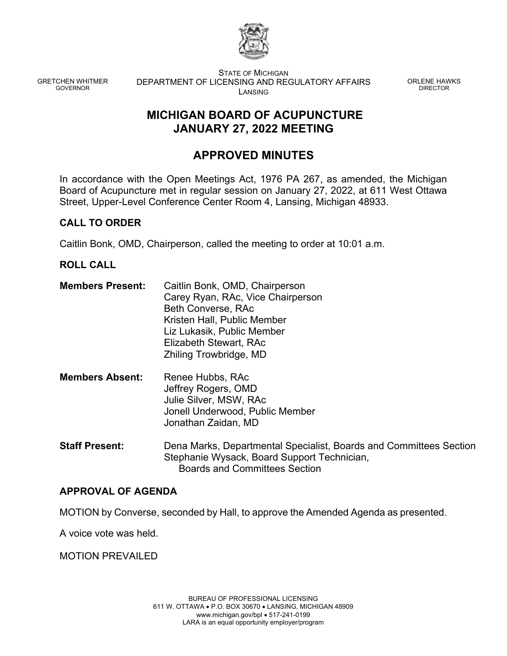

GRETCHEN WHITMER GOVERNOR

STATE OF MICHIGAN DEPARTMENT OF LICENSING AND REGULATORY AFFAIRS LANSING

ORLENE HAWKS DIRECTOR

# **MICHIGAN BOARD OF ACUPUNCTURE JANUARY 27, 2022 MEETING**

# **APPROVED MINUTES**

In accordance with the Open Meetings Act, 1976 PA 267, as amended, the Michigan Board of Acupuncture met in regular session on January 27, 2022, at 611 West Ottawa Street, Upper-Level Conference Center Room 4, Lansing, Michigan 48933.

# **CALL TO ORDER**

Caitlin Bonk, OMD, Chairperson, called the meeting to order at 10:01 a.m.

# **ROLL CALL**

- **Members Present:** Caitlin Bonk, OMD, Chairperson Carey Ryan, RAc, Vice Chairperson Beth Converse, RAc Kristen Hall, Public Member Liz Lukasik, Public Member Elizabeth Stewart, RAc Zhiling Trowbridge, MD
- **Members Absent:** Renee Hubbs, RAc Jeffrey Rogers, OMD Julie Silver, MSW, RAc Jonell Underwood, Public Member Jonathan Zaidan, MD
- **Staff Present:** Dena Marks, Departmental Specialist, Boards and Committees Section Stephanie Wysack, Board Support Technician, Boards and Committees Section

# **APPROVAL OF AGENDA**

MOTION by Converse, seconded by Hall, to approve the Amended Agenda as presented.

A voice vote was held.

MOTION PREVAILED

BUREAU OF PROFESSIONAL LICENSING 611 W. OTTAWA • P.O. BOX 30670 • LANSING, MICHIGAN 48909 www.michigan.gov/bpl • 517-241-0199 LARA is an equal opportunity employer/program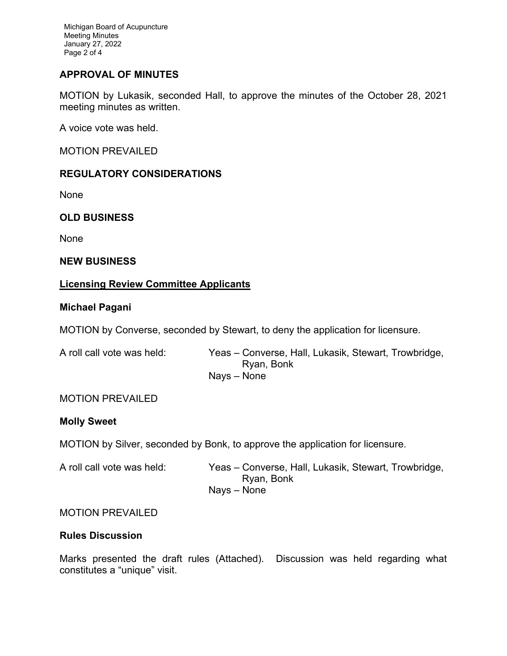Michigan Board of Acupuncture Meeting Minutes January 27, 2022 Page 2 of 4

# **APPROVAL OF MINUTES**

MOTION by Lukasik, seconded Hall, to approve the minutes of the October 28, 2021 meeting minutes as written.

A voice vote was held.

MOTION PREVAILED

# **REGULATORY CONSIDERATIONS**

None

# **OLD BUSINESS**

None

# **NEW BUSINESS**

# **Licensing Review Committee Applicants**

# **Michael Pagani**

MOTION by Converse, seconded by Stewart, to deny the application for licensure.

| A roll call vote was held: | Yeas – Converse, Hall, Lukasik, Stewart, Trowbridge, |
|----------------------------|------------------------------------------------------|
|                            | Ryan, Bonk                                           |
|                            | Navs – None                                          |

# MOTION PREVAILED

# **Molly Sweet**

MOTION by Silver, seconded by Bonk, to approve the application for licensure.

| A roll call vote was held: | Yeas – Converse, Hall, Lukasik, Stewart, Trowbridge, |
|----------------------------|------------------------------------------------------|
|                            | Ryan, Bonk                                           |
|                            | Navs – None                                          |

# MOTION PREVAILED

# **Rules Discussion**

Marks presented the draft rules (Attached). Discussion was held regarding what constitutes a "unique" visit.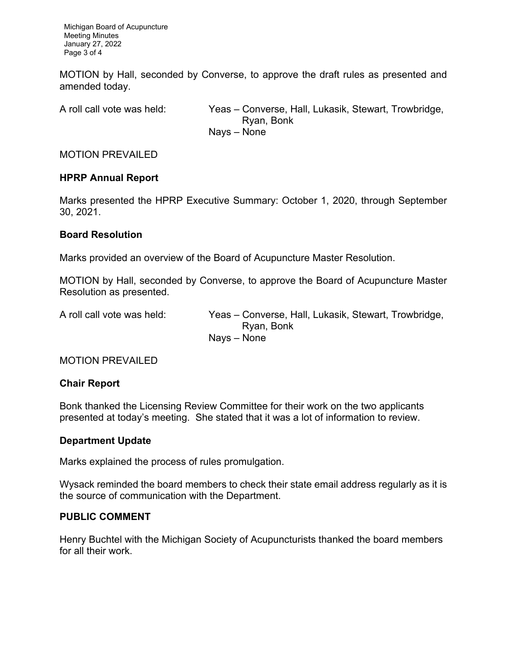Michigan Board of Acupuncture Meeting Minutes January 27, 2022 Page 3 of 4

MOTION by Hall, seconded by Converse, to approve the draft rules as presented and amended today.

A roll call vote was held: Yeas – Converse, Hall, Lukasik, Stewart, Trowbridge, Ryan, Bonk Nays – None

MOTION PREVAILED

# **HPRP Annual Report**

Marks presented the HPRP Executive Summary: October 1, 2020, through September 30, 2021.

#### **Board Resolution**

Marks provided an overview of the Board of Acupuncture Master Resolution.

MOTION by Hall, seconded by Converse, to approve the Board of Acupuncture Master Resolution as presented.

A roll call vote was held: Yeas – Converse, Hall, Lukasik, Stewart, Trowbridge, Ryan, Bonk Nays – None

MOTION PREVAILED

#### **Chair Report**

Bonk thanked the Licensing Review Committee for their work on the two applicants presented at today's meeting. She stated that it was a lot of information to review.

# **Department Update**

Marks explained the process of rules promulgation.

Wysack reminded the board members to check their state email address regularly as it is the source of communication with the Department.

# **PUBLIC COMMENT**

Henry Buchtel with the Michigan Society of Acupuncturists thanked the board members for all their work.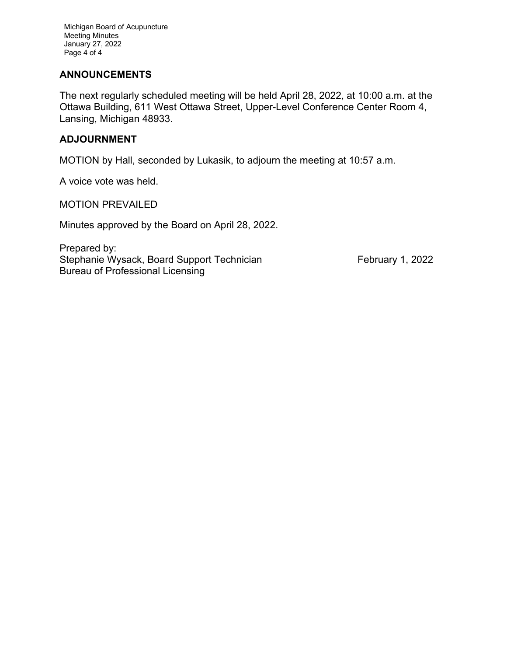Michigan Board of Acupuncture Meeting Minutes January 27, 2022 Page 4 of 4

# **ANNOUNCEMENTS**

The next regularly scheduled meeting will be held April 28, 2022, at 10:00 a.m. at the Ottawa Building, 611 West Ottawa Street, Upper-Level Conference Center Room 4, Lansing, Michigan 48933.

### **ADJOURNMENT**

MOTION by Hall, seconded by Lukasik, to adjourn the meeting at 10:57 a.m.

A voice vote was held.

MOTION PREVAILED

Minutes approved by the Board on April 28, 2022.

Prepared by: Stephanie Wysack, Board Support Technician February 1, 2022 Bureau of Professional Licensing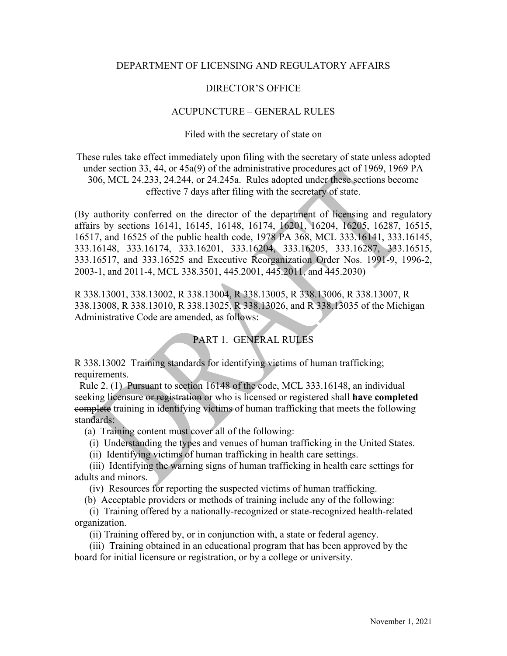# DEPARTMENT OF LICENSING AND REGULATORY AFFAIRS

### DIRECTOR'S OFFICE

#### ACUPUNCTURE – GENERAL RULES

Filed with the secretary of state on

These rules take effect immediately upon filing with the secretary of state unless adopted under section 33, 44, or 45a(9) of the administrative procedures act of 1969, 1969 PA 306, MCL 24.233, 24.244, or 24.245a. Rules adopted under these sections become effective 7 days after filing with the secretary of state.

(By authority conferred on the director of the department of licensing and regulatory affairs by sections 16141, 16145, 16148, 16174, 16201, 16204, 16205, 16287, 16515, 16517, and 16525 of the public health code, 1978 PA 368, MCL 333.16141, 333.16145, 333.16148, 333.16174, 333.16201, 333.16204, 333.16205, 333.16287, 333.16515, 333.16517, and 333.16525 and Executive Reorganization Order Nos. 1991-9, 1996-2, 2003-1, and 2011-4, MCL 338.3501, 445.2001, 445.2011, and 445.2030)

R 338.13001, 338.13002, R 338.13004, R 338.13005, R 338.13006, R 338.13007, R 338.13008, R 338.13010, R 338.13025, R 338.13026, and R 338.13035 of the Michigan Administrative Code are amended, as follows:

# PART 1. GENERAL RULES

R 338.13002 Training standards for identifying victims of human trafficking; requirements.

 Rule 2. (1) Pursuant to section 16148 of the code, MCL 333.16148, an individual seeking licensure or registration or who is licensed or registered shall **have completed** complete training in identifying victims of human trafficking that meets the following standards:

(a) Training content must cover all of the following:

(i) Understanding the types and venues of human trafficking in the United States.

(ii) Identifying victims of human trafficking in health care settings.

(iii) Identifying the warning signs of human trafficking in health care settings for adults and minors.

(iv) Resources for reporting the suspected victims of human trafficking.

(b) Acceptable providers or methods of training include any of the following:

(i) Training offered by a nationally-recognized or state-recognized health-related organization.

(ii) Training offered by, or in conjunction with, a state or federal agency.

(iii) Training obtained in an educational program that has been approved by the board for initial licensure or registration, or by a college or university.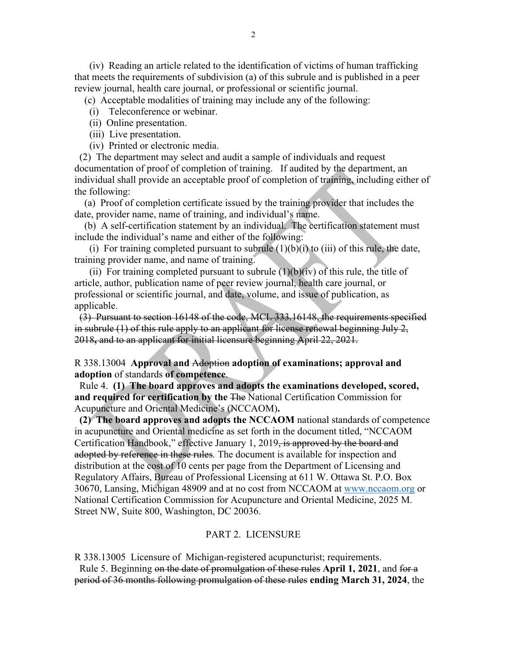(iv) Reading an article related to the identification of victims of human trafficking that meets the requirements of subdivision (a) of this subrule and is published in a peer review journal, health care journal, or professional or scientific journal.

(c) Acceptable modalities of training may include any of the following:

(i) Teleconference or webinar.

(ii) Online presentation.

(iii) Live presentation.

(iv) Printed or electronic media.

(2) The department may select and audit a sample of individuals and request documentation of proof of completion of training. If audited by the department, an individual shall provide an acceptable proof of completion of training, including either of the following:

(a) Proof of completion certificate issued by the training provider that includes the date, provider name, name of training, and individual's name.

(b) A self-certification statement by an individual. The certification statement must include the individual's name and either of the following:

(i) For training completed pursuant to subrule  $(1)(b)(i)$  to  $(iii)$  of this rule, the date, training provider name, and name of training.

(ii) For training completed pursuant to subrule  $(1)(b)(iv)$  of this rule, the title of article, author, publication name of peer review journal, health care journal, or professional or scientific journal, and date, volume, and issue of publication, as applicable.

(3) Pursuant to section 16148 of the code, MCL 333.16148, the requirements specified in subrule (1) of this rule apply to an applicant for license renewal beginning July 2, 2018**,** and to an applicant for initial licensure beginning April 22, 2021.

#### R 338.13004 **Approval and** Adoption **adoption of examinations; approval and adoption** of standards **of competence**.

 Rule 4. **(1) The board approves and adopts the examinations developed, scored, and required for certification by the** The National Certification Commission for Acupuncture and Oriental Medicine's (NCCAOM)**.** 

**(2) The board approves and adopts the NCCAOM** national standards of competence in acupuncture and Oriental medicine as set forth in the document titled, "NCCAOM Certification Handbook," effective January 1, 2019, is approved by the board and adopted by reference in these rules. The document is available for inspection and distribution at the cost of 10 cents per page from the Department of Licensing and Regulatory Affairs, Bureau of Professional Licensing at 611 W. Ottawa St. P.O. Box 30670, Lansing, Michigan 48909 and at no cost from NCCAOM at [www.nccaom.org](http://www.nccaom.org/) or National Certification Commission for Acupuncture and Oriental Medicine, 2025 M. Street NW, Suite 800, Washington, DC 20036.

#### PART 2. LICENSURE

R 338.13005 Licensure of Michigan-registered acupuncturist; requirements. Rule 5. Beginning on the date of promulgation of these rules **April 1, 2021**, and for a period of 36 months following promulgation of these rules **ending March 31, 2024**, the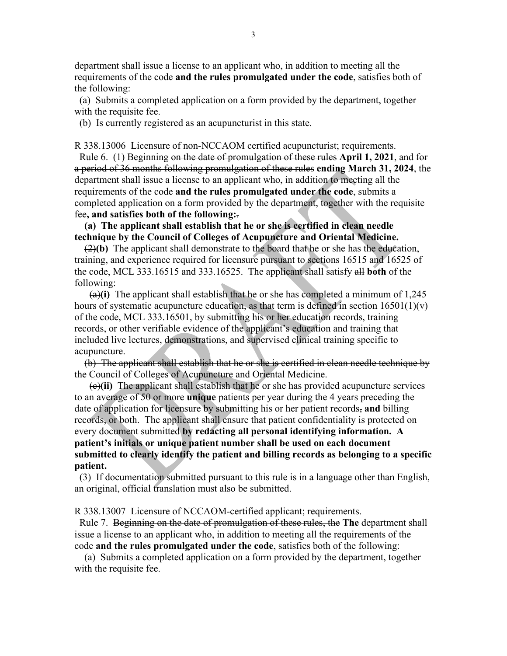department shall issue a license to an applicant who, in addition to meeting all the requirements of the code **and the rules promulgated under the code**, satisfies both of the following:

 (a) Submits a completed application on a form provided by the department, together with the requisite fee.

(b) Is currently registered as an acupuncturist in this state.

R 338.13006 Licensure of non-NCCAOM certified acupuncturist; requirements.

 Rule 6. (1) Beginning on the date of promulgation of these rules **April 1, 2021**, and for a period of 36 months following promulgation of these rules **ending March 31, 2024**, the department shall issue a license to an applicant who, in addition to meeting all the requirements of the code **and the rules promulgated under the code**, submits a completed application on a form provided by the department, together with the requisite fee**, and satisfies both of the following:**.

 **(a) The applicant shall establish that he or she is certified in clean needle technique by the Council of Colleges of Acupuncture and Oriental Medicine.**

 (2)**(b)** The applicant shall demonstrate to the board that he or she has the education, training, and experience required for licensure pursuant to sections 16515 and 16525 of the code, MCL 333.16515 and 333.16525. The applicant shall satisfy all **both** of the following:

 $(a)$ (i) The applicant shall establish that he or she has completed a minimum of 1,245 hours of systematic acupuncture education, as that term is defined in section  $16501(1)(v)$ of the code, MCL 333.16501, by submitting his or her education records, training records, or other verifiable evidence of the applicant's education and training that included live lectures, demonstrations, and supervised clinical training specific to acupuncture.

 (b) The applicant shall establish that he or she is certified in clean needle technique by the Council of Colleges of Acupuncture and Oriental Medicine.

 (c)**(ii)** The applicant shall establish that he or she has provided acupuncture services to an average of 50 or more **unique** patients per year during the 4 years preceding the date of application for licensure by submitting his or her patient records, **and** billing records, or both. The applicant shall ensure that patient confidentiality is protected on every document submitted **by redacting all personal identifying information. A patient's initials or unique patient number shall be used on each document submitted to clearly identify the patient and billing records as belonging to a specific patient.** 

 (3) If documentation submitted pursuant to this rule is in a language other than English, an original, official translation must also be submitted.

R 338.13007 Licensure of NCCAOM-certified applicant; requirements.

 Rule 7. Beginning on the date of promulgation of these rules, the **The** department shall issue a license to an applicant who, in addition to meeting all the requirements of the code **and the rules promulgated under the code**, satisfies both of the following:

 (a) Submits a completed application on a form provided by the department, together with the requisite fee.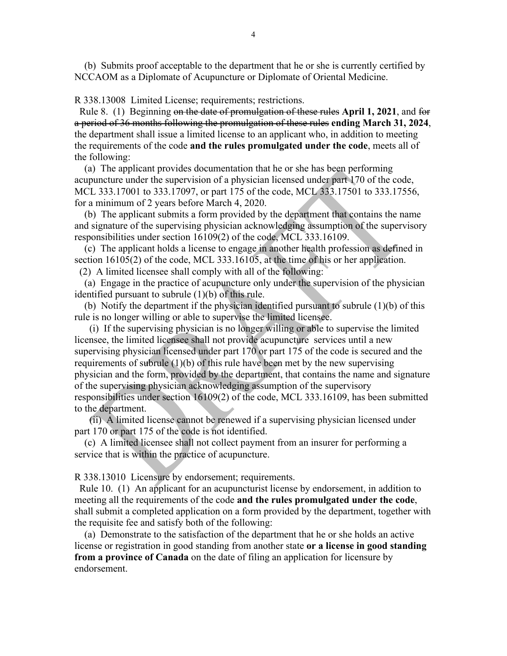(b) Submits proof acceptable to the department that he or she is currently certified by NCCAOM as a Diplomate of Acupuncture or Diplomate of Oriental Medicine.

R 338.13008 Limited License; requirements; restrictions.

 Rule 8. (1) Beginning on the date of promulgation of these rules **April 1, 2021**, and for a period of 36 months following the promulgation of these rules **ending March 31, 2024**, the department shall issue a limited license to an applicant who, in addition to meeting the requirements of the code **and the rules promulgated under the code**, meets all of the following:

 (a) The applicant provides documentation that he or she has been performing acupuncture under the supervision of a physician licensed under part 170 of the code, MCL 333.17001 to 333.17097, or part 175 of the code, MCL 333.17501 to 333.17556, for a minimum of 2 years before March 4, 2020.

 (b) The applicant submits a form provided by the department that contains the name and signature of the supervising physician acknowledging assumption of the supervisory responsibilities under section 16109(2) of the code, MCL 333.16109.

 (c) The applicant holds a license to engage in another health profession as defined in section 16105(2) of the code, MCL 333.16105, at the time of his or her application.

(2) A limited licensee shall comply with all of the following:

 (a) Engage in the practice of acupuncture only under the supervision of the physician identified pursuant to subrule (1)(b) of this rule.

 (b) Notify the department if the physician identified pursuant to subrule (1)(b) of this rule is no longer willing or able to supervise the limited licensee.

 (i) If the supervising physician is no longer willing or able to supervise the limited licensee, the limited licensee shall not provide acupuncture services until a new supervising physician licensed under part 170 or part 175 of the code is secured and the requirements of subrule  $(1)(b)$  of this rule have been met by the new supervising physician and the form, provided by the department, that contains the name and signature of the supervising physician acknowledging assumption of the supervisory responsibilities under section 16109(2) of the code, MCL 333.16109, has been submitted to the department.

 (ii) A limited license cannot be renewed if a supervising physician licensed under part 170 or part 175 of the code is not identified.

 (c) A limited licensee shall not collect payment from an insurer for performing a service that is within the practice of acupuncture.

R 338.13010 Licensure by endorsement; requirements.

 Rule 10. (1) An applicant for an acupuncturist license by endorsement, in addition to meeting all the requirements of the code **and the rules promulgated under the code**, shall submit a completed application on a form provided by the department, together with the requisite fee and satisfy both of the following:

 (a) Demonstrate to the satisfaction of the department that he or she holds an active license or registration in good standing from another state **or a license in good standing from a province of Canada** on the date of filing an application for licensure by endorsement.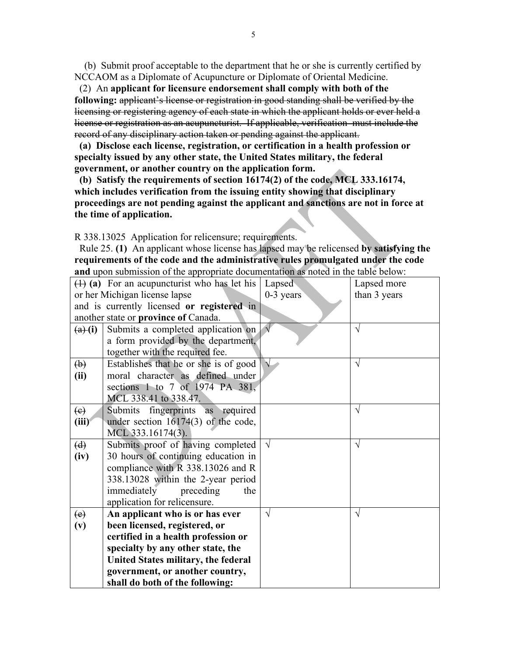(b) Submit proof acceptable to the department that he or she is currently certified by NCCAOM as a Diplomate of Acupuncture or Diplomate of Oriental Medicine.

(2) An **applicant for licensure endorsement shall comply with both of the following:** applicant's license or registration in good standing shall be verified by the licensing or registering agency of each state in which the applicant holds or ever held a license or registration as an acupuncturist. If applicable, verification must include the record of any disciplinary action taken or pending against the applicant.

**(a) Disclose each license, registration, or certification in a health profession or specialty issued by any other state, the United States military, the federal government, or another country on the application form.** 

**(b) Satisfy the requirements of section 16174(2) of the code, MCL 333.16174, which includes verification from the issuing entity showing that disciplinary proceedings are not pending against the applicant and sanctions are not in force at the time of application.**

R 338.13025 Application for relicensure; requirements.

 Rule 25. **(1)** An applicant whose license has lapsed may be relicensed **by satisfying the requirements of the code and the administrative rules promulgated under the code and** upon submission of the appropriate documentation as noted in the table below:

|                                            | $(1)$ (a) For an acupuncturist who has let his | Lapsed      | Lapsed more  |
|--------------------------------------------|------------------------------------------------|-------------|--------------|
| or her Michigan license lapse              |                                                | $0-3$ years | than 3 years |
| and is currently licensed or registered in |                                                |             |              |
|                                            | another state or province of Canada.           |             |              |
| $\overline{a}(i)$                          | Submits a completed application on             |             | $\sqrt{}$    |
|                                            | a form provided by the department,             |             |              |
|                                            | together with the required fee.                |             |              |
| $\left(\mathbf{\Theta}\right)$             | Establishes that he or she is of good          |             | $\sqrt{}$    |
| (ii)                                       | moral character as defined under               |             |              |
|                                            | sections 1 to 7 of 1974 PA 381,                |             |              |
|                                            | MCL 338.41 to 338.47.                          |             |              |
| $\left(e\right)$                           | Submits<br>fingerprints<br>as required         |             | $\sqrt{}$    |
| (iii)                                      | under section $16174(3)$ of the code,          |             |              |
|                                            | MCL 333.16174(3).                              |             |              |
| (d)                                        | Submits proof of having completed              | $\sqrt{}$   | V            |
| (iv)                                       | 30 hours of continuing education in            |             |              |
|                                            | compliance with R 338.13026 and R              |             |              |
|                                            | 338.13028 within the 2-year period             |             |              |
|                                            | immediately<br>preceding<br>the                |             |              |
|                                            | application for relicensure.                   |             |              |
| (e)                                        | An applicant who is or has ever                | $\sqrt{}$   | V            |
| (v)                                        | been licensed, registered, or                  |             |              |
| certified in a health profession or        |                                                |             |              |
|                                            | specialty by any other state, the              |             |              |
|                                            | United States military, the federal            |             |              |
|                                            | government, or another country,                |             |              |
|                                            | shall do both of the following:                |             |              |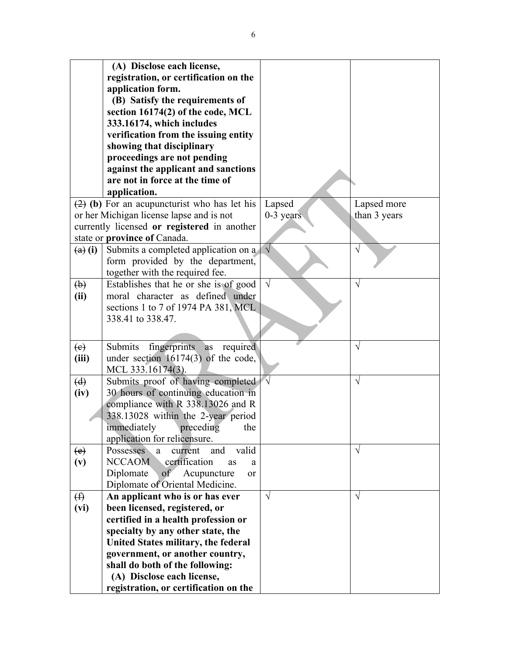|                               | (A) Disclose each license,                      |             |              |
|-------------------------------|-------------------------------------------------|-------------|--------------|
|                               | registration, or certification on the           |             |              |
|                               | application form.                               |             |              |
|                               | (B) Satisfy the requirements of                 |             |              |
|                               | section 16174(2) of the code, MCL               |             |              |
|                               | 333.16174, which includes                       |             |              |
|                               | verification from the issuing entity            |             |              |
|                               | showing that disciplinary                       |             |              |
|                               | proceedings are not pending                     |             |              |
|                               | against the applicant and sanctions             |             |              |
|                               | are not in force at the time of                 |             |              |
|                               | application.                                    |             |              |
|                               | $(2)$ (b) For an acupuncturist who has let his  | Lapsed      | Lapsed more  |
|                               | or her Michigan license lapse and is not        | $0-3$ years | than 3 years |
|                               | currently licensed or registered in another     |             |              |
|                               | state or province of Canada.                    |             |              |
| $\left(\mathbf{a}\right)$ (i) | Submits a completed application on a            | $\sqrt{ }$  | $\sqrt{}$    |
|                               | form provided by the department,                |             |              |
|                               | together with the required fee.                 |             |              |
| $\biguplus$                   | Establishes that he or she is of good           | $\sqrt{}$   | $\sqrt{}$    |
| (ii)                          | moral character as defined under                |             |              |
|                               | sections 1 to 7 of 1974 PA 381, MCL             |             |              |
|                               | 338.41 to 338.47.                               |             |              |
|                               |                                                 |             |              |
|                               |                                                 |             |              |
| (e)                           | Submits<br>fingerprints<br>required<br>as       |             | $\sqrt{}$    |
| (iii)                         | under section $16174(3)$ of the code,           |             |              |
|                               | MCL 333.16174(3).                               |             |              |
| (d)                           | Submits proof of having completed               |             | $\sqrt{}$    |
| (iv)                          | 30 hours of continuing education in             |             |              |
|                               | compliance with R 338.13026 and R               |             |              |
|                               | 338.13028 within the 2-year period              |             |              |
|                               | immediately<br>preceding<br>the                 |             |              |
|                               | application for relicensure.                    |             |              |
| $\left(e\right)$              | Possesses<br>valid<br>current<br>and<br>a.      |             | $\sqrt{ }$   |
| (v)                           | <b>NCCAOM</b><br>certification<br>as<br>a       |             |              |
|                               | Diplomate<br>of<br>Acupuncture<br><sub>or</sub> |             |              |
|                               | Diplomate of Oriental Medicine.                 |             |              |
| $\bigoplus$                   | An applicant who is or has ever                 | $\sqrt{ }$  | $\sqrt{ }$   |
| (vi)                          | been licensed, registered, or                   |             |              |
|                               | certified in a health profession or             |             |              |
|                               | specialty by any other state, the               |             |              |
|                               | United States military, the federal             |             |              |
|                               | government, or another country,                 |             |              |
|                               | shall do both of the following:                 |             |              |
|                               | (A) Disclose each license,                      |             |              |
|                               | registration, or certification on the           |             |              |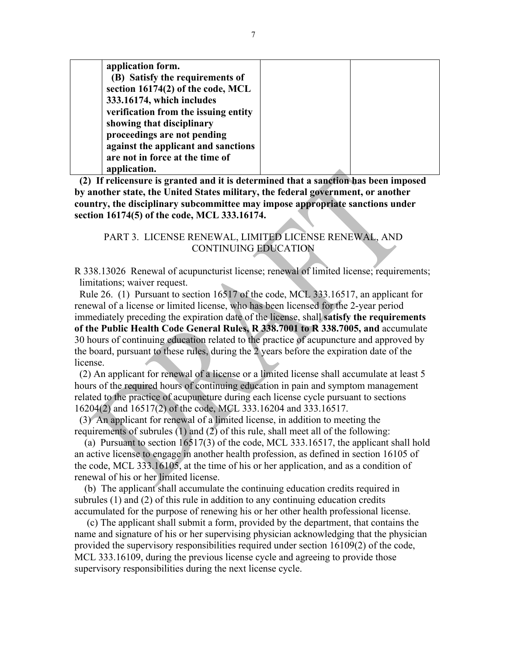| application form.                    |  |
|--------------------------------------|--|
| (B) Satisfy the requirements of      |  |
| section 16174(2) of the code, MCL    |  |
| 333.16174, which includes            |  |
| verification from the issuing entity |  |
| showing that disciplinary            |  |
| proceedings are not pending          |  |
| against the applicant and sanctions  |  |
| are not in force at the time of      |  |
| application.                         |  |

 **(2) If relicensure is granted and it is determined that a sanction has been imposed by another state, the United States military, the federal government, or another country, the disciplinary subcommittee may impose appropriate sanctions under section 16174(5) of the code, MCL 333.16174.**

# PART 3. LICENSE RENEWAL, LIMITED LICENSE RENEWAL, AND CONTINUING EDUCATION

R 338.13026 Renewal of acupuncturist license; renewal of limited license; requirements; limitations; waiver request.

 Rule 26. (1) Pursuant to section 16517 of the code, MCL 333.16517, an applicant for renewal of a license or limited license, who has been licensed for the 2-year period immediately preceding the expiration date of the license, shall **satisfy the requirements of the Public Health Code General Rules, R 338.7001 to R 338.7005, and** accumulate 30 hours of continuing education related to the practice of acupuncture and approved by the board, pursuant to these rules, during the 2 years before the expiration date of the license.

(2) An applicant for renewal of a license or a limited license shall accumulate at least 5 hours of the required hours of continuing education in pain and symptom management related to the practice of acupuncture during each license cycle pursuant to sections 16204(2) and 16517(2) of the code, MCL 333.16204 and 333.16517.

 (3) An applicant for renewal of a limited license, in addition to meeting the requirements of subrules (1) and (2) of this rule, shall meet all of the following:

 (a) Pursuant to section 16517(3) of the code, MCL 333.16517, the applicant shall hold an active license to engage in another health profession, as defined in section 16105 of the code, MCL 333.16105, at the time of his or her application, and as a condition of renewal of his or her limited license.

 (b) The applicant shall accumulate the continuing education credits required in subrules (1) and (2) of this rule in addition to any continuing education credits accumulated for the purpose of renewing his or her other health professional license.

 (c) The applicant shall submit a form, provided by the department, that contains the name and signature of his or her supervising physician acknowledging that the physician provided the supervisory responsibilities required under section 16109(2) of the code, MCL 333.16109, during the previous license cycle and agreeing to provide those supervisory responsibilities during the next license cycle.